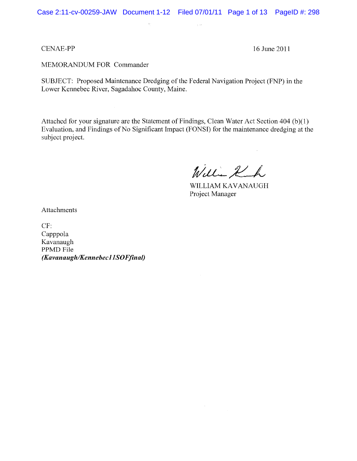Case 2:11-cv-00259-JAW Document 1-12 Filed 07/01/11 Page 1 of 13 PageID #: 298

 $\gamma_{\rm{d}}$  is

#### CENAE-PP 16 June 2011

MEMORANDUM FOR Commander

SUBJECT: Proposed Maintenance Dredging of the Federal Navigation Project (FNP) in the Lower Kennebec River, Sagadahoc County, Maine.

 $\hat{q}_{\mu}$ 

Attached for your signature are the Statement of Findings, Clean Water Act Section 404 (b)( 1) Evaluation, and Findings of No Significant Impact (FONSI) for the maintenance dredging at the subject project.

William Kuh

WILLIAM KAVANAUGH Project Manager

Attachments

CF: Capppola Kavanaugh PPMD File  $\overline{K}$ *(Kavanaugh/Kennebec11SOFfinal)*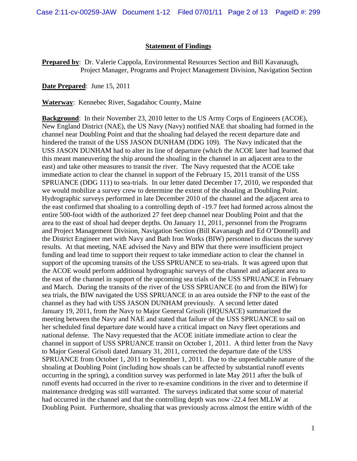#### **Statement of Findings**

**Prepared by**: Dr. Valerie Cappola, Environmental Resources Section and Bill Kavanaugh, Project Manager, Programs and Project Management Division, Navigation Section

**Date Prepared**: June 15, 2011

**Waterway**: Kennebec River, Sagadahoc County, Maine

**Background**: In their November 23, 2010 letter to the US Army Corps of Engineers (ACOE), New England District (NAE), the US Navy (Navy) notified NAE that shoaling had formed in the channel near Doubling Point and that the shoaling had delayed the recent departure date and hindered the transit of the USS JASON DUNHAM (DDG 109). The Navy indicated that the USS JASON DUNHAM had to alter its line of departure (which the ACOE later had learned that this meant maneuvering the ship around the shoaling in the channel in an adjacent area to the east) and take other measures to transit the river. The Navy requested that the ACOE take immediate action to clear the channel in support of the February 15, 2011 transit of the USS SPRUANCE (DDG 111) to sea-trials. In our letter dated December 17, 2010, we responded that we would mobilize a survey crew to determine the extent of the shoaling at Doubling Point. Hydrographic surveys performed in late December 2010 of the channel and the adjacent area to the east confirmed that shoaling to a controlling depth of -19.7 feet had formed across almost the entire 500-foot width of the authorized 27 feet deep channel near Doubling Point and that the area to the east of shoal had deeper depths. On January 11, 2011, personnel from the Programs and Project Management Division, Navigation Section (Bill Kavanaugh and Ed O'Donnell) and the District Engineer met with Navy and Bath Iron Works (BIW) personnel to discuss the survey results. At that meeting, NAE advised the Navy and BIW that there were insufficient project funding and lead time to support their request to take immediate action to clear the channel in support of the upcoming transits of the USS SPRUANCE to sea-trials. It was agreed upon that the ACOE would perform additional hydrographic surveys of the channel and adjacent area to the east of the channel in support of the upcoming sea trials of the USS SPRUANCE in February and March. During the transits of the river of the USS SPRUANCE (to and from the BIW) for sea trials, the BIW navigated the USS SPRUANCE in an area outside the FNP to the east of the channel as they had with USS JASON DUNHAM previously. A second letter dated January 19, 2011, from the Navy to Major General Grisoli (HQUSACE) summarized the meeting between the Navy and NAE and stated that failure of the USS SPRUANCE to sail on her scheduled final departure date would have a critical impact on Navy fleet operations and national defense. The Navy requested that the ACOE initiate immediate action to clear the channel in support of USS SPRUANCE transit on October 1, 2011. A third letter from the Navy to Major General Grisoli dated January 31, 2011, corrected the departure date of the USS SPRUANCE from October 1, 2011 to September 1, 2011. Due to the unpredictable nature of the shoaling at Doubling Point (including how shoals can be affected by substantial runoff events occurring in the spring), a condition survey was performed in late May 2011 after the bulk of runoff events had occurred in the river to re-examine conditions in the river and to determine if maintenance dredging was still warranted. The surveys indicated that some scour of material had occurred in the channel and that the controlling depth was now -22.4 feet MLLW at Doubling Point. Furthermore, shoaling that was previously across almost the entire width of the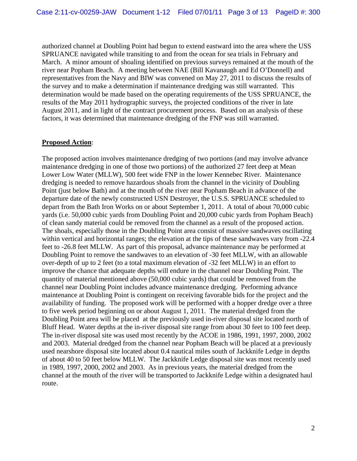authorized channel at Doubling Point had begun to extend eastward into the area where the USS SPRUANCE navigated while transiting to and from the ocean for sea trials in February and March. A minor amount of shoaling identified on previous surveys remained at the mouth of the river near Popham Beach. A meeting between NAE (Bill Kavanaugh and Ed O'Donnell) and representatives from the Navy and BIW was convened on May 27, 2011 to discuss the results of the survey and to make a determination if maintenance dredging was still warranted. This determination would be made based on the operating requirements of the USS SPRUANCE, the results of the May 2011 hydrographic surveys, the projected conditions of the river in late August 2011, and in light of the contract procurement process. Based on an analysis of these factors, it was determined that maintenance dredging of the FNP was still warranted.

#### **Proposed Action**:

The proposed action involves maintenance dredging of two portions (and may involve advance maintenance dredging in one of those two portions) of the authorized 27 feet deep at Mean Lower Low Water (MLLW), 500 feet wide FNP in the lower Kennebec River. Maintenance dredging is needed to remove hazardous shoals from the channel in the vicinity of Doubling Point (just below Bath) and at the mouth of the river near Popham Beach in advance of the departure date of the newly constructed USN Destroyer, the U.S.S. SPRUANCE scheduled to depart from the Bath Iron Works on or about September 1, 2011. A total of about 70,000 cubic yards (i.e. 50,000 cubic yards from Doubling Point and 20,000 cubic yards from Popham Beach) of clean sandy material could be removed from the channel as a result of the proposed action. The shoals, especially those in the Doubling Point area consist of massive sandwaves oscillating within vertical and horizontal ranges; the elevation at the tips of these sandwaves vary from -22.4 feet to -26.8 feet MLLW. As part of this proposal, advance maintenance may be performed at Doubling Point to remove the sandwaves to an elevation of -30 feet MLLW, with an allowable over-depth of up to 2 feet (to a total maximum elevation of -32 feet MLLW) in an effort to improve the chance that adequate depths will endure in the channel near Doubling Point. The quantity of material mentioned above (50,000 cubic yards) that could be removed from the channel near Doubling Point includes advance maintenance dredging. Performing advance maintenance at Doubling Point is contingent on receiving favorable bids for the project and the availability of funding. The proposed work will be performed with a hopper dredge over a three to five week period beginning on or about August 1, 2011. The material dredged from the Doubling Point area will be placed at the previously used in-river disposal site located north of Bluff Head. Water depths at the in-river disposal site range from about 30 feet to 100 feet deep. The in-river disposal site was used most recently by the ACOE in 1986, 1991, 1997, 2000, 2002 and 2003. Material dredged from the channel near Popham Beach will be placed at a previously used nearshore disposal site located about 0.4 nautical miles south of Jackknife Ledge in depths of about 40 to 50 feet below MLLW. The Jackknife Ledge disposal site was most recently used in 1989, 1997, 2000, 2002 and 2003. As in previous years, the material dredged from the channel at the mouth of the river will be transported to Jackknife Ledge within a designated haul route.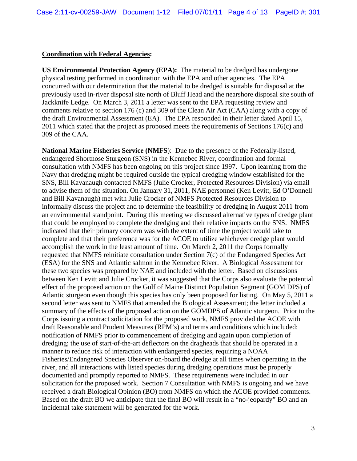#### **Coordination with Federal Agencies:**

**US Environmental Protection Agency (EPA):** The material to be dredged has undergone physical testing performed in coordination with the EPA and other agencies. The EPA concurred with our determination that the material to be dredged is suitable for disposal at the previously used in-river disposal site north of Bluff Head and the nearshore disposal site south of Jackknife Ledge. On March 3, 2011 a letter was sent to the EPA requesting review and comments relative to section 176 (c) and 309 of the Clean Air Act (CAA) along with a copy of the draft Environmental Assessment (EA). The EPA responded in their letter dated April 15, 2011 which stated that the project as proposed meets the requirements of Sections 176(c) and 309 of the CAA.

**National Marine Fisheries Service (NMFS**): Due to the presence of the Federally-listed, endangered Shortnose Sturgeon (SNS) in the Kennebec River, coordination and formal consultation with NMFS has been ongoing on this project since 1997. Upon learning from the Navy that dredging might be required outside the typical dredging window established for the SNS, Bill Kavanaugh contacted NMFS (Julie Crocker, Protected Resources Division) via email to advise them of the situation. On January 31, 2011, NAE personnel (Ken Levitt, Ed O'Donnell and Bill Kavanaugh) met with Julie Crocker of NMFS Protected Resources Division to informally discuss the project and to determine the feasibility of dredging in August 2011 from an environmental standpoint. During this meeting we discussed alternative types of dredge plant that could be employed to complete the dredging and their relative impacts on the SNS. NMFS indicated that their primary concern was with the extent of time the project would take to complete and that their preference was for the ACOE to utilize whichever dredge plant would accomplish the work in the least amount of time. On March 2, 2011 the Corps formally requested that NMFS reinitiate consultation under Section 7(c) of the Endangered Species Act (ESA) for the SNS and Atlantic salmon in the Kennebec River. A Biological Assessment for these two species was prepared by NAE and included with the letter. Based on discussions between Ken Levitt and Julie Crocker, it was suggested that the Corps also evaluate the potential effect of the proposed action on the Gulf of Maine Distinct Population Segment (GOM DPS) of Atlantic sturgeon even though this species has only been proposed for listing. On May 5, 2011 a second letter was sent to NMFS that amended the Biological Assessment; the letter included a summary of the effects of the proposed action on the GOMDPS of Atlantic sturgeon. Prior to the Corps issuing a contract solicitation for the proposed work, NMFS provided the ACOE with draft Reasonable and Prudent Measures (RPM's) and terms and conditions which included: notification of NMFS prior to commencement of dredging and again upon completion of dredging; the use of start-of-the-art deflectors on the dragheads that should be operated in a manner to reduce risk of interaction with endangered species, requiring a NOAA Fisheries/Endangered Species Observer on-board the dredge at all times when operating in the river, and all interactions with listed species during dredging operations must be properly documented and promptly reported to NMFS. These requirements were included in our solicitation for the proposed work. Section 7 Consultation with NMFS is ongoing and we have received a draft Biological Opinion (BO) from NMFS on which the ACOE provided comments. Based on the draft BO we anticipate that the final BO will result in a "no-jeopardy" BO and an incidental take statement will be generated for the work.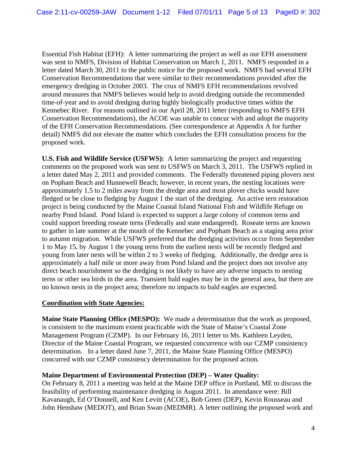Essential Fish Habitat (EFH): A letter summarizing the project as well as our EFH assessment was sent to NMFS, Division of Habitat Conservation on March 1, 2011. NMFS responded in a letter dated March 30, 2011 to the public notice for the proposed work. NMFS had several EFH Conservation Recommendations that were similar to their recommendations provided after the emergency dredging in October 2003. The crux of NMFS EFH recommendations revolved around measures that NMFS believes would help to avoid dredging outside the recommended time-of-year and to avoid dredging during highly biologically productive times within the Kennebec River. For reasons outlined in our April 28, 2011 letter (responding to NMFS EFH Conservation Recommendations), the ACOE was unable to concur with and adopt the majority of the EFH Conservation Recommendations. (See correspondence at Appendix A for further detail) NMFS did not elevate the matter which concludes the EFH consultation process for the proposed work.

**U.S. Fish and Wildlife Service (USFWS):** A letter summarizing the project and requesting comments on the proposed work was sent to USFWS on March 3, 2011. The USFWS replied in a letter dated May 2, 2011 and provided comments. The Federally threatened piping plovers nest on Popham Beach and Hunnewell Beach; however, in recent years, the nesting locations were approximately 1.5 to 2 miles away from the dredge area and most plover chicks would have fledged or be close to fledging by August 1 the start of the dredging. An active tern restoration project is being conducted by the Maine Coastal Island National Fish and Wildlife Refuge on nearby Pond Island. Pond Island is expected to support a large colony of common terns and could support breeding roseate terns (Federally and state endangered). Roseate terns are known to gather in late summer at the mouth of the Kennebec and Popham Beach as a staging area prior to autumn migration. While USFWS preferred that the dredging activities occur from September 1 to May 15, by August 1 the young terns from the earliest nests will be recently fledged and young from later nests will be within 2 to 3 weeks of fledging. Additionally, the dredge area is approximately a half mile or more away from Pond Island and the project does not involve any direct beach nourishment so the dredging is not likely to have any adverse impacts to nesting terns or other sea birds in the area. Transient bald eagles may be in the general area, but there are no known nests in the project area; therefore no impacts to bald eagles are expected.

### **Coordination with State Agencies:**

**Maine State Planning Office (MESPO):** We made a determination that the work as proposed, is consistent to the maximum extent practicable with the State of Maine's Coastal Zone Management Program (CZMP). In our February 16, 2011 letter to Ms. Kathleen Leyden, Director of the Maine Coastal Program, we requested concurrence with our CZMP consistency determination. In a letter dated June 7, 2011, the Maine State Planning Office (MESPO) concurred with our CZMP consistency determination for the proposed action.

### **Maine Department of Environmental Protection (DEP) – Water Quality:**

On February 8, 2011 a meeting was held at the Maine DEP office in Portland, ME to discuss the feasibility of performing maintenance dredging in August 2011. In attendance were: Bill Kavanaugh, Ed O'Donnell, and Ken Levitt (ACOE), Bob Green (DEP), Kevin Rousseau and John Henshaw (MEDOT), and Brian Swan (MEDMR). A letter outlining the proposed work and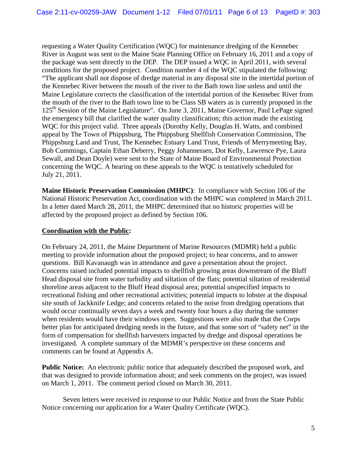requesting a Water Quality Certification (WQC) for maintenance dredging of the Kennebec River in August was sent to the Maine State Planning Office on February 16, 2011 and a copy of the package was sent directly to the DEP. The DEP issued a WQC in April 2011, with several conditions for the proposed project. Condition number 4 of the WQC stipulated the following: "The applicant shall not dispose of dredge material in any disposal site in the intertidal portion of the Kennebec River between the mouth of the river to the Bath town line unless and until the Maine Legislature corrects the classification of the intertidal portion of the Kennebec River from the mouth of the river to the Bath town line to be Class SB waters as is currently proposed in the 125<sup>th</sup> Session of the Maine Legislature". On June 3, 2011, Maine Governor, Paul LePage signed the emergency bill that clarified the water quality classification; this action made the existing WQC for this project valid. Three appeals (Dorothy Kelly, Douglas H. Watts, and combined appeal by The Town of Phippsburg, The Phippsburg Shellfish Conservation Commission, The Phippsburg Land and Trust, The Kennebec Estuary Land Trust, Friends of Merrymeeting Bay, Bob Cummings, Captain Ethan Deberry, Peggy Johannessen, Dot Kelly, Lawrence Pye, Laura Sewall, and Dean Doyle) were sent to the State of Maine Board of Environmental Protection concerning the WQC. A hearing on these appeals to the WQC is tentatively scheduled for July 21, 2011.

**Maine Historic Preservation Commission (MHPC)**: In compliance with Section 106 of the National Historic Preservation Act, coordination with the MHPC was completed in March 2011. In a letter dated March 28, 2011, the MHPC determined that no historic properties will be affected by the proposed project as defined by Section 106.

## **Coordination with the Public:**

On February 24, 2011, the Maine Department of Marine Resources (MDMR) held a public meeting to provide information about the proposed project; to hear concerns, and to answer questions. Bill Kavanaugh was in attendance and gave a presentation about the project. Concerns raised included potential impacts to shellfish growing areas downstream of the Bluff Head disposal site from water turbidity and siltation of the flats; potential siltation of residential shoreline areas adjacent to the Bluff Head disposal area; potential unspecified impacts to recreational fishing and other recreational activities; potential impacts to lobster at the disposal site south of Jackknife Ledge; and concerns related to the noise from dredging operations that would occur continually seven days a week and twenty four hours a day during the summer when residents would have their windows open. Suggestions were also made that the Corps better plan for anticipated dredging needs in the future, and that some sort of "safety net" in the form of compensation for shellfish harvesters impacted by dredge and disposal operations be investigated. A complete summary of the MDMR's perspective on these concerns and comments can be found at Appendix A.

**Public Notice:** An electronic public notice that adequately described the proposed work, and that was designed to provide information about; and seek comments on the project, was issued on March 1, 2011. The comment period closed on March 30, 2011.

Seven letters were received in response to our Public Notice and from the State Public Notice concerning our application for a Water Quality Certificate (WQC).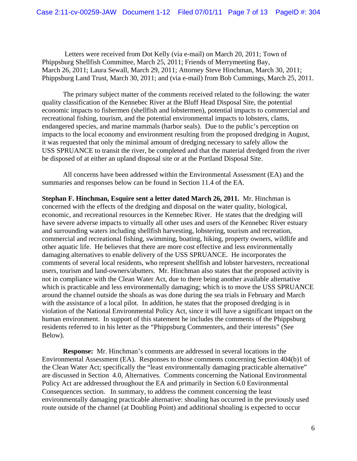Letters were received from Dot Kelly (via e-mail) on March 20, 2011; Town of Phippsburg Shellfish Committee, March 25, 2011; Friends of Merrymeeting Bay, March 26, 2011; Laura Sewall, March 29, 2011; Attorney Steve Hinchman, March 30, 2011; Phippsburg Land Trust, March 30, 2011; and (via e-mail) from Bob Cummings, March 25, 2011.

The primary subject matter of the comments received related to the following: the water quality classification of the Kennebec River at the Bluff Head Disposal Site, the potential economic impacts to fishermen (shellfish and lobstermen), potential impacts to commercial and recreational fishing, tourism, and the potential environmental impacts to lobsters, clams, endangered species, and marine mammals (harbor seals). Due to the public's perception on impacts to the local economy and environment resulting from the proposed dredging in August, it was requested that only the minimal amount of dredging necessary to safely allow the USS SPRUANCE to transit the river, be completed and that the material dredged from the river be disposed of at either an upland disposal site or at the Portland Disposal Site.

 All concerns have been addressed within the Environmental Assessment (EA) and the summaries and responses below can be found in Section 11.4 of the EA.

**Stephan F. Hinchman, Esquire sent a letter dated March 26, 2011.** Mr. Hinchman is concerned with the effects of the dredging and disposal on the water quality, biological, economic, and recreational resources in the Kennebec River. He states that the dredging will have severe adverse impacts to virtually all other uses and users of the Kennebec River estuary and surrounding waters including shellfish harvesting, lobstering, tourism and recreation, commercial and recreational fishing, swimming, boating, hiking, property owners, wildlife and other aquatic life. He believes that there are more cost effective and less environmentally damaging alternatives to enable delivery of the USS SPRUANCE. He incorporates the comments of several local residents, who represent shellfish and lobster harvesters, recreational users, tourism and land-owners/abutters. Mr. Hinchman also states that the proposed activity is not in compliance with the Clean Water Act, due to there being another available alternative which is practicable and less environmentally damaging; which is to move the USS SPRUANCE around the channel outside the shoals as was done during the sea trials in February and March with the assistance of a local pilot. In addition, he states that the proposed dredging is in violation of the National Environmental Policy Act, since it will have a significant impact on the human environment. In support of this statement he includes the comments of the Phippsburg residents referred to in his letter as the "Phippsburg Commenters, and their interests" (See Below).

**Response:** Mr. Hinchman's comments are addressed in several locations in the Environmental Assessment (EA). Responses to those comments concerning Section 404(b)1 of the Clean Water Act; specifically the "least environmentally damaging practicable alternative" are discussed in Section 4.0, Alternatives. Comments concerning the National Environmental Policy Act are addressed throughout the EA and primarily in Section 6.0 Environmental Consequences section. In summary, to address the comment concerning the least environmentally damaging practicable alternative: shoaling has occurred in the previously used route outside of the channel (at Doubling Point) and additional shoaling is expected to occur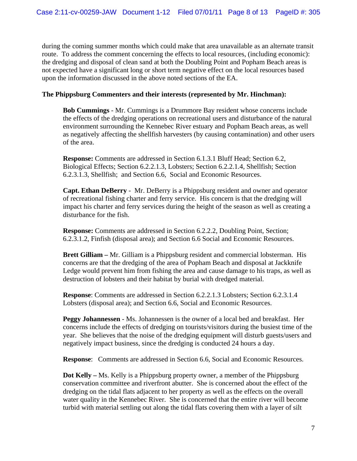during the coming summer months which could make that area unavailable as an alternate transit route. To address the comment concerning the effects to local resources, (including economic): the dredging and disposal of clean sand at both the Doubling Point and Popham Beach areas is not expected have a significant long or short term negative effect on the local resources based upon the information discussed in the above noted sections of the EA.

### **The Phippsburg Commenters and their interests (represented by Mr. Hinchman):**

**Bob Cummings** - Mr. Cummings is a Drummore Bay resident whose concerns include the effects of the dredging operations on recreational users and disturbance of the natural environment surrounding the Kennebec River estuary and Popham Beach areas, as well as negatively affecting the shellfish harvesters (by causing contamination) and other users of the area.

**Response:** Comments are addressed in Section 6.1.3.1 Bluff Head; Section 6.2, Biological Effects; Section 6.2.2.1.3, Lobsters; Section 6.2.2.1.4, Shellfish; Section 6.2.3.1.3, Shellfish; and Section 6.6, Social and Economic Resources.

**Capt. Ethan DeBerry** - Mr. DeBerry is a Phippsburg resident and owner and operator of recreational fishing charter and ferry service. His concern is that the dredging will impact his charter and ferry services during the height of the season as well as creating a disturbance for the fish.

**Response:** Comments are addressed in Section 6.2.2.2, Doubling Point, Section; 6.2.3.1.2, Finfish (disposal area); and Section 6.6 Social and Economic Resources.

**Brett Gilliam –** Mr. Gilliam is a Phippsburg resident and commercial lobsterman. His concerns are that the dredging of the area of Popham Beach and disposal at Jackknife Ledge would prevent him from fishing the area and cause damage to his traps, as well as destruction of lobsters and their habitat by burial with dredged material.

**Response**: Comments are addressed in Section 6.2.2.1.3 Lobsters; Section 6.2.3.1.4 Lobsters (disposal area); and Section 6.6, Social and Economic Resources.

**Peggy Johannessen** - Ms. Johannessen is the owner of a local bed and breakfast. Her concerns include the effects of dredging on tourists/visitors during the busiest time of the year. She believes that the noise of the dredging equipment will disturb guests/users and negatively impact business, since the dredging is conducted 24 hours a day.

**Response**: Comments are addressed in Section 6.6, Social and Economic Resources.

**Dot Kelly –** Ms. Kelly is a Phippsburg property owner, a member of the Phippsburg conservation committee and riverfront abutter. She is concerned about the effect of the dredging on the tidal flats adjacent to her property as well as the effects on the overall water quality in the Kennebec River. She is concerned that the entire river will become turbid with material settling out along the tidal flats covering them with a layer of silt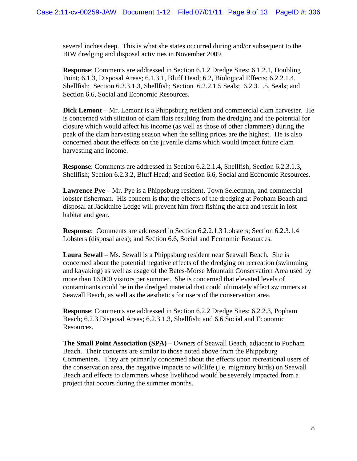several inches deep. This is what she states occurred during and/or subsequent to the BIW dredging and disposal activities in November 2009.

**Response**: Comments are addressed in Section 6.1.2 Dredge Sites; 6.1.2.1, Doubling Point; 6.1.3, Disposal Areas; 6.1.3.1, Bluff Head; 6.2, Biological Effects; 6.2.2.1.4, Shellfish; Section 6.2.3.1.3, Shellfish; Section 6.2.2.1.5 Seals; 6.2.3.1.5, Seals; and Section 6.6, Social and Economic Resources.

**Dick Lemont –** Mr. Lemont is a Phippsburg resident and commercial clam harvester. He is concerned with siltation of clam flats resulting from the dredging and the potential for closure which would affect his income (as well as those of other clammers) during the peak of the clam harvesting season when the selling prices are the highest. He is also concerned about the effects on the juvenile clams which would impact future clam harvesting and income.

**Response**: Comments are addressed in Section 6.2.2.1.4, Shellfish; Section 6.2.3.1.3, Shellfish; Section 6.2.3.2, Bluff Head; and Section 6.6, Social and Economic Resources.

**Lawrence Pye** – Mr. Pye is a Phippsburg resident, Town Selectman, and commercial lobster fisherman. His concern is that the effects of the dredging at Popham Beach and disposal at Jackknife Ledge will prevent him from fishing the area and result in lost habitat and gear.

**Response**: Comments are addressed in Section 6.2.2.1.3 Lobsters; Section 6.2.3.1.4 Lobsters (disposal area); and Section 6.6, Social and Economic Resources.

**Laura Sewall** – Ms. Sewall is a Phippsburg resident near Seawall Beach. She is concerned about the potential negative effects of the dredging on recreation (swimming and kayaking) as well as usage of the Bates-Morse Mountain Conservation Area used by more than 16,000 visitors per summer. She is concerned that elevated levels of contaminants could be in the dredged material that could ultimately affect swimmers at Seawall Beach, as well as the aesthetics for users of the conservation area.

**Response**: Comments are addressed in Section 6.2.2 Dredge Sites; 6.2.2.3, Popham Beach; 6.2.3 Disposal Areas; 6.2.3.1.3, Shellfish; and 6.6 Social and Economic Resources.

**The Small Point Association (SPA)** – Owners of Seawall Beach, adjacent to Popham Beach. Their concerns are similar to those noted above from the Phippsburg Commenters. They are primarily concerned about the effects upon recreational users of the conservation area, the negative impacts to wildlife (i.e. migratory birds) on Seawall Beach and effects to clammers whose livelihood would be severely impacted from a project that occurs during the summer months.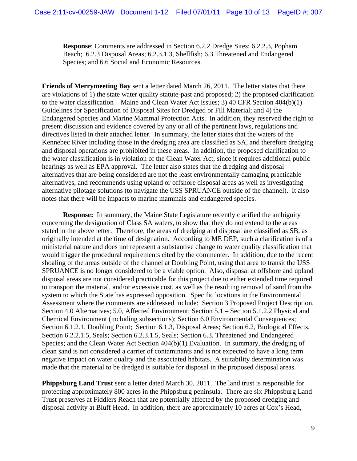**Response**: Comments are addressed in Section 6.2.2 Dredge Sites; 6.2.2.3, Popham Beach; 6.2.3 Disposal Areas; 6.2.3.1.3, Shellfish; 6.3 Threatened and Endangered Species; and 6.6 Social and Economic Resources.

**Friends of Merrymeeting Bay** sent a letter dated March 26, 2011. The letter states that there are violations of 1) the state water quality statute-past and proposed; 2) the proposed clarification to the water classification – Maine and Clean Water Act issues; 3) 40 CFR Section 404(b)(1) Guidelines for Specification of Disposal Sites for Dredged or Fill Material; and 4) the Endangered Species and Marine Mammal Protection Acts. In addition, they reserved the right to present discussion and evidence covered by any or all of the pertinent laws, regulations and directives listed in their attached letter. In summary, the letter states that the waters of the Kennebec River including those in the dredging area are classified as SA, and therefore dredging and disposal operations are prohibited in these areas. In addition, the proposed clarification to the water classification is in violation of the Clean Water Act, since it requires additional public hearings as well as EPA approval. The letter also states that the dredging and disposal alternatives that are being considered are not the least environmentally damaging practicable alternatives, and recommends using upland or offshore disposal areas as well as investigating alternative pilotage solutions (to navigate the USS SPRUANCE outside of the channel). It also notes that there will be impacts to marine mammals and endangered species.

**Response:** In summary, the Maine State Legislature recently clarified the ambiguity concerning the designation of Class SA waters, to show that they do not extend to the areas stated in the above letter. Therefore, the areas of dredging and disposal are classified as SB, as originally intended at the time of designation. According to ME DEP, such a clarification is of a ministerial nature and does not represent a substantive change to water quality classification that would trigger the procedural requirements cited by the commenter. In addition, due to the recent shoaling of the areas outside of the channel at Doubling Point, using that area to transit the USS SPRUANCE is no longer considered to be a viable option. Also, disposal at offshore and upland disposal areas are not considered practicable for this project due to either extended time required to transport the material, and/or excessive cost, as well as the resulting removal of sand from the system to which the State has expressed opposition. Specific locations in the Environmental Assessment where the comments are addressed include: Section 3 Proposed Project Description, Section 4.0 Alternatives; 5.0, Affected Environment; Section 5.1 – Section 5.1.2.2 Physical and Chemical Environment (including subsections); Section 6.0 Environmental Consequences; Section 6.1.2.1, Doubling Point; Section 6.1.3, Disposal Areas; Section 6.2, Biological Effects, Section 6.2.2.1.5, Seals; Section 6.2.3.1.5, Seals; Section 6.3, Threatened and Endangered Species; and the Clean Water Act Section 404(b)(1) Evaluation. In summary, the dredging of clean sand is not considered a carrier of contaminants and is not expected to have a long term negative impact on water quality and the associated habitats. A suitability determination was made that the material to be dredged is suitable for disposal in the proposed disposal areas.

**Phippsburg Land Trust** sent a letter dated March 30, 2011. The land trust is responsible for protecting approximately 800 acres in the Phippsburg peninsula. There are six Phippsburg Land Trust preserves at Fiddlers Reach that are potentially affected by the proposed dredging and disposal activity at Bluff Head. In addition, there are approximately 10 acres at Cox's Head,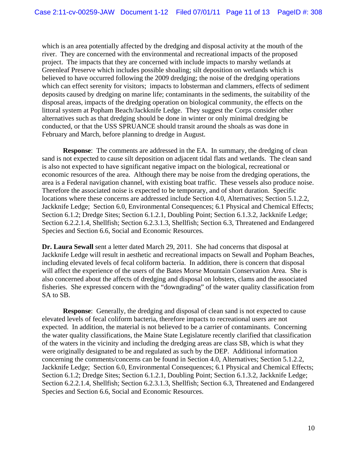which is an area potentially affected by the dredging and disposal activity at the mouth of the river. They are concerned with the environmental and recreational impacts of the proposed project. The impacts that they are concerned with include impacts to marshy wetlands at Greenleaf Preserve which includes possible shoaling; silt deposition on wetlands which is believed to have occurred following the 2009 dredging; the noise of the dredging operations which can effect serenity for visitors; impacts to lobsterman and clammers, effects of sediment deposits caused by dredging on marine life; contaminants in the sediments, the suitability of the disposal areas, impacts of the dredging operation on biological community, the effects on the littoral system at Popham Beach/Jackknife Ledge. They suggest the Corps consider other alternatives such as that dredging should be done in winter or only minimal dredging be conducted, or that the USS SPRUANCE should transit around the shoals as was done in February and March, before planning to dredge in August.

**Response:** The comments are addressed in the EA. In summary, the dredging of clean sand is not expected to cause silt deposition on adjacent tidal flats and wetlands. The clean sand is also not expected to have significant negative impact on the biological, recreational or economic resources of the area. Although there may be noise from the dredging operations, the area is a Federal navigation channel, with existing boat traffic. These vessels also produce noise. Therefore the associated noise is expected to be temporary, and of short duration. Specific locations where these concerns are addressed include Section 4.0, Alternatives; Section 5.1.2.2, Jackknife Ledge; Section 6.0, Environmental Consequences; 6.1 Physical and Chemical Effects; Section 6.1.2; Dredge Sites; Section 6.1.2.1, Doubling Point; Section 6.1.3.2, Jackknife Ledge; Section 6.2.2.1.4, Shellfish; Section 6.2.3.1.3, Shellfish; Section 6.3, Threatened and Endangered Species and Section 6.6, Social and Economic Resources.

**Dr. Laura Sewall** sent a letter dated March 29, 2011. She had concerns that disposal at Jackknife Ledge will result in aesthetic and recreational impacts on Sewall and Popham Beaches, including elevated levels of fecal coliform bacteria. In addition, there is concern that disposal will affect the experience of the users of the Bates Morse Mountain Conservation Area. She is also concerned about the affects of dredging and disposal on lobsters, clams and the associated fisheries. She expressed concern with the "downgrading" of the water quality classification from SA to SB.

**Response:** Generally, the dredging and disposal of clean sand is not expected to cause elevated levels of fecal coliform bacteria, therefore impacts to recreational users are not expected. In addition, the material is not believed to be a carrier of contaminants. Concerning the water quality classifications, the Maine State Legislature recently clarified that classification of the waters in the vicinity and including the dredging areas are class SB, which is what they were originally designated to be and regulated as such by the DEP. Additional information concerning the comments/concerns can be found in Section 4.0, Alternatives; Section 5.1.2.2, Jackknife Ledge; Section 6.0, Environmental Consequences; 6.1 Physical and Chemical Effects; Section 6.1.2; Dredge Sites; Section 6.1.2.1, Doubling Point; Section 6.1.3.2, Jackknife Ledge; Section 6.2.2.1.4, Shellfish; Section 6.2.3.1.3, Shellfish; Section 6.3, Threatened and Endangered Species and Section 6.6, Social and Economic Resources.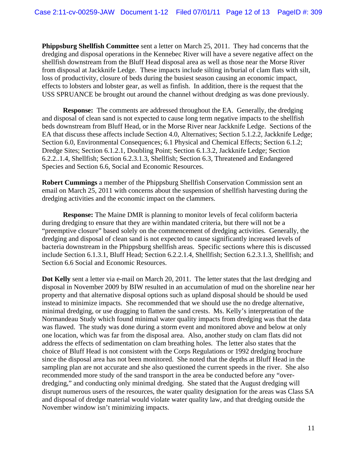**Phippsburg Shellfish Committee** sent a letter on March 25, 2011. They had concerns that the dredging and disposal operations in the Kennebec River will have a severe negative affect on the shellfish downstream from the Bluff Head disposal area as well as those near the Morse River from disposal at Jackknife Ledge. These impacts include silting in/burial of clam flats with silt, loss of productivity, closure of beds during the busiest season causing an economic impact, effects to lobsters and lobster gear, as well as finfish. In addition, there is the request that the USS SPRUANCE be brought out around the channel without dredging as was done previously.

**Response:** The comments are addressed throughout the EA. Generally, the dredging and disposal of clean sand is not expected to cause long term negative impacts to the shellfish beds downstream from Bluff Head, or in the Morse River near Jackknife Ledge. Sections of the EA that discuss these affects include Section 4.0, Alternatives; Section 5.1.2.2, Jackknife Ledge; Section 6.0, Environmental Consequences; 6.1 Physical and Chemical Effects; Section 6.1.2; Dredge Sites; Section 6.1.2.1, Doubling Point; Section 6.1.3.2, Jackknife Ledge; Section 6.2.2..1.4, Shellfish; Section 6.2.3.1.3, Shellfish; Section 6.3, Threatened and Endangered Species and Section 6.6, Social and Economic Resources.

**Robert Cummings** a member of the Phippsburg Shellfish Conservation Commission sent an email on March 25, 2011 with concerns about the suspension of shellfish harvesting during the dredging activities and the economic impact on the clammers.

**Response:** The Maine DMR is planning to monitor levels of fecal coliform bacteria during dredging to ensure that they are within mandated criteria, but there will not be a "preemptive closure" based solely on the commencement of dredging activities. Generally, the dredging and disposal of clean sand is not expected to cause significantly increased levels of bacteria downstream in the Phippsburg shellfish areas. Specific sections where this is discussed include Section 6.1.3.1, Bluff Head; Section 6.2.2.1.4, Shellfish; Section 6.2.3.1.3, Shellfish; and Section 6.6 Social and Economic Resources.

**Dot Kelly** sent a letter via e-mail on March 20, 2011. The letter states that the last dredging and disposal in November 2009 by BIW resulted in an accumulation of mud on the shoreline near her property and that alternative disposal options such as upland disposal should be should be used instead to minimize impacts. She recommended that we should use the no dredge alternative, minimal dredging, or use dragging to flatten the sand crests. Ms. Kelly's interpretation of the Normandeau Study which found minimal water quality impacts from dredging was that the data was flawed. The study was done during a storm event and monitored above and below at only one location, which was far from the disposal area. Also, another study on clam flats did not address the effects of sedimentation on clam breathing holes. The letter also states that the choice of Bluff Head is not consistent with the Corps Regulations or 1992 dredging brochure since the disposal area has not been monitored. She noted that the depths at Bluff Head in the sampling plan are not accurate and she also questioned the current speeds in the river. She also recommended more study of the sand transport in the area be conducted before any "overdredging," and conducting only minimal dredging. She stated that the August dredging will disrupt numerous users of the resources, the water quality designation for the areas was Class SA and disposal of dredge material would violate water quality law, and that dredging outside the November window isn't minimizing impacts.